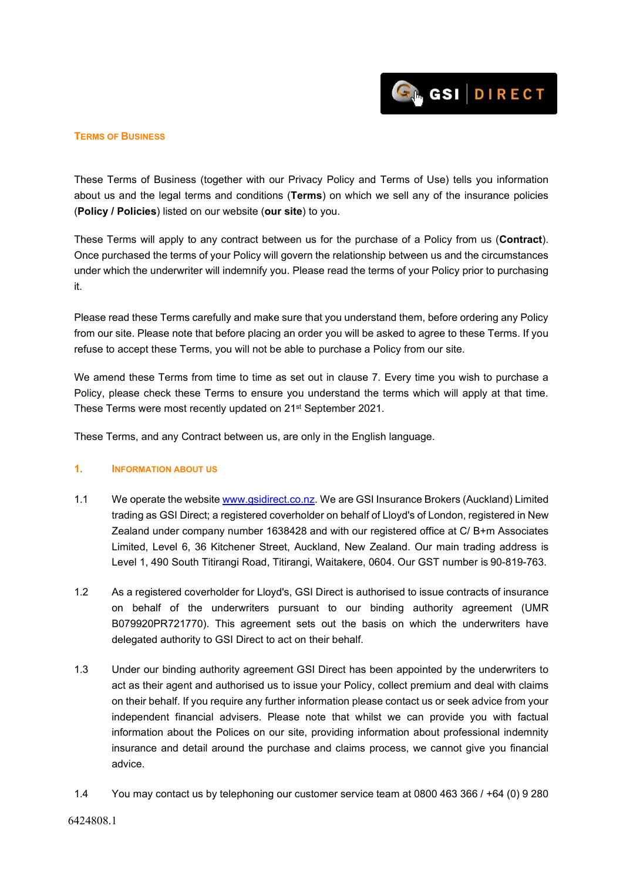

#### **TERMS OF BUSINESS**

These Terms of Business (together with our Privacy Policy and Terms of Use) tells you information about us and the legal terms and conditions (**Terms**) on which we sell any of the insurance policies (**Policy / Policies**) listed on our website (**our site**) to you.

These Terms will apply to any contract between us for the purchase of a Policy from us (**Contract**). Once purchased the terms of your Policy will govern the relationship between us and the circumstances under which the underwriter will indemnify you. Please read the terms of your Policy prior to purchasing it.

Please read these Terms carefully and make sure that you understand them, before ordering any Policy from our site. Please note that before placing an order you will be asked to agree to these Terms. If you refuse to accept these Terms, you will not be able to purchase a Policy from our site.

We amend these Terms from time to time as set out in clause 7. Every time you wish to purchase a Policy, please check these Terms to ensure you understand the terms which will apply at that time. These Terms were most recently updated on 21st September 2021.

These Terms, and any Contract between us, are only in the English language.

#### **1. INFORMATION ABOUT US**

- 1.1 We operate the website [www.gsidirect.co.nz. W](http://www.glennstone.co.nz/)e are GSI Insurance Brokers (Auckland) Limited trading as GSI Direct; a registered coverholder on behalf of Lloyd's of London, registered in New Zealand under company number 1638428 and with our registered office at C/ B+m Associates Limited, Level 6, 36 Kitchener Street, Auckland, New Zealand. Our main trading address is Level 1, 490 South Titirangi Road, Titirangi, Waitakere, 0604. Our GST number is 90-819-763.
- 1.2 As a registered coverholder for Lloyd's, GSI Direct is authorised to issue contracts of insurance on behalf of the underwriters pursuant to our binding authority agreement (UMR B079920PR721770). This agreement sets out the basis on which the underwriters have delegated authority to GSI Direct to act on their behalf.
- 1.3 Under our binding authority agreement GSI Direct has been appointed by the underwriters to act as their agent and authorised us to issue your Policy, collect premium and deal with claims on their behalf. If you require any further information please contact us or seek advice from your independent financial advisers. Please note that whilst we can provide you with factual information about the Polices on our site, providing information about professional indemnity insurance and detail around the purchase and claims process, we cannot give you financial advice.
- 1.4 You may contact us by telephoning our customer service team at 0800 463 366 / +64 (0) 9 280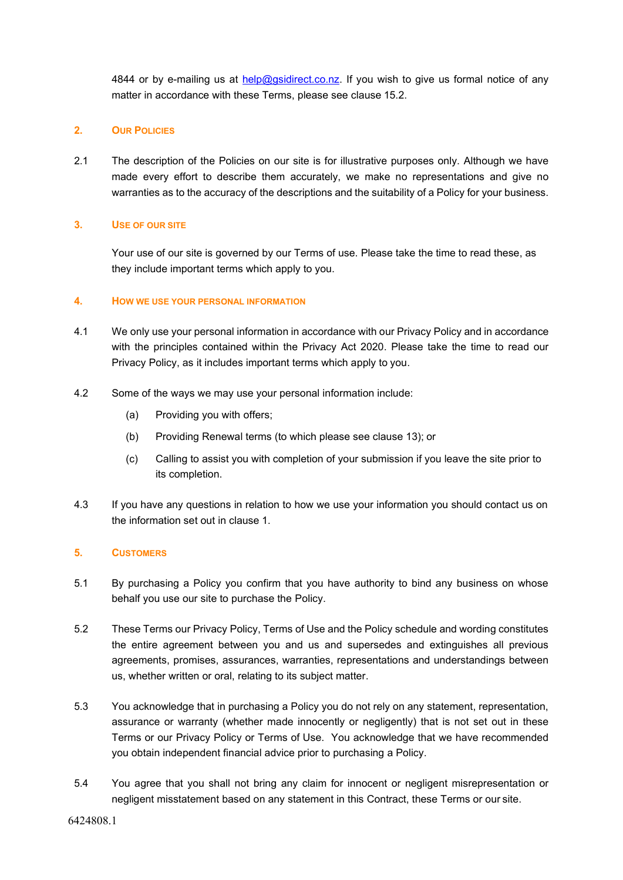4844 or by e-mailing us at [help@gsidirect.co.nz. I](mailto:info@glennstone.co.nz)f you wish to give us formal notice of any matter in accordance with these Terms, please see clause 15.2.

# **2. OUR POLICIES**

2.1 The description of the Policies on our site is for illustrative purposes only. Although we have made every effort to describe them accurately, we make no representations and give no warranties as to the accuracy of the descriptions and the suitability of a Policy for your business.

# **3. USE OF OUR SITE**

Your use of our site is governed by our Terms of use. Please take the time to read these, as they include important terms which apply to you.

# **4. HOW WE USE YOUR PERSONAL INFORMATION**

- 4.1 We only use your personal information in accordance with our Privacy Policy and in accordance with the principles contained within the Privacy Act 2020. Please take the time to read our Privacy Policy, as it includes important terms which apply to you.
- 4.2 Some of the ways we may use your personal information include:
	- (a) Providing you with offers;
	- (b) Providing Renewal terms (to which please see clause 13); or
	- (c) Calling to assist you with completion of your submission if you leave the site prior to its completion.
- 4.3 If you have any questions in relation to how we use your information you should contact us on the information set out in clause 1.

# **5. CUSTOMERS**

- 5.1 By purchasing a Policy you confirm that you have authority to bind any business on whose behalf you use our site to purchase the Policy.
- 5.2 These Terms our Privacy Policy, Terms of Use and the Policy schedule and wording constitutes the entire agreement between you and us and supersedes and extinguishes all previous agreements, promises, assurances, warranties, representations and understandings between us, whether written or oral, relating to its subject matter.
- 5.3 You acknowledge that in purchasing a Policy you do not rely on any statement, representation, assurance or warranty (whether made innocently or negligently) that is not set out in these Terms or our Privacy Policy or Terms of Use. You acknowledge that we have recommended you obtain independent financial advice prior to purchasing a Policy.
- 5.4 You agree that you shall not bring any claim for innocent or negligent misrepresentation or negligent misstatement based on any statement in this Contract, these Terms or our site.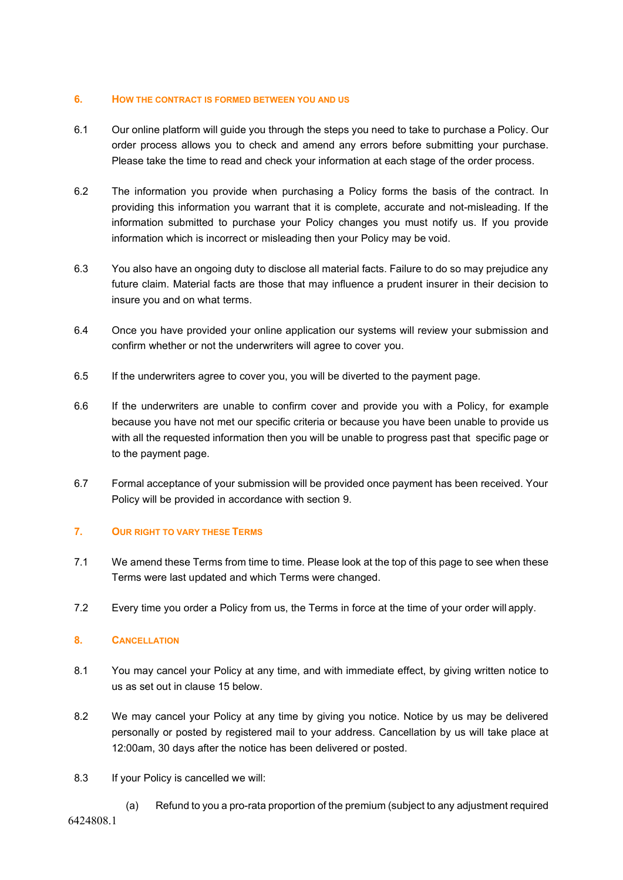#### **6. HOW THE CONTRACT IS FORMED BETWEEN YOU AND US**

- 6.1 Our online platform will guide you through the steps you need to take to purchase a Policy. Our order process allows you to check and amend any errors before submitting your purchase. Please take the time to read and check your information at each stage of the order process.
- 6.2 The information you provide when purchasing a Policy forms the basis of the contract. In providing this information you warrant that it is complete, accurate and not-misleading. If the information submitted to purchase your Policy changes you must notify us. If you provide information which is incorrect or misleading then your Policy may be void.
- 6.3 You also have an ongoing duty to disclose all material facts. Failure to do so may prejudice any future claim. Material facts are those that may influence a prudent insurer in their decision to insure you and on what terms.
- 6.4 Once you have provided your online application our systems will review your submission and confirm whether or not the underwriters will agree to cover you.
- 6.5 If the underwriters agree to cover you, you will be diverted to the payment page.
- 6.6 If the underwriters are unable to confirm cover and provide you with a Policy, for example because you have not met our specific criteria or because you have been unable to provide us with all the requested information then you will be unable to progress past that specific page or to the payment page.
- 6.7 Formal acceptance of your submission will be provided once payment has been received. Your Policy will be provided in accordance with section 9.

# **7. OUR RIGHT TO VARY THESE TERMS**

- 7.1 We amend these Terms from time to time. Please look at the top of this page to see when these Terms were last updated and which Terms were changed.
- 7.2 Every time you order a Policy from us, the Terms in force at the time of your order will apply.

# **8. CANCELLATION**

- 8.1 You may cancel your Policy at any time, and with immediate effect, by giving written notice to us as set out in clause 15 below.
- 8.2 We may cancel your Policy at any time by giving you notice. Notice by us may be delivered personally or posted by registered mail to your address. Cancellation by us will take place at 12:00am, 30 days after the notice has been delivered or posted.
- 8.3 If your Policy is cancelled we will:
	- (a) Refund to you a pro-rata proportion of the premium (subject to any adjustment required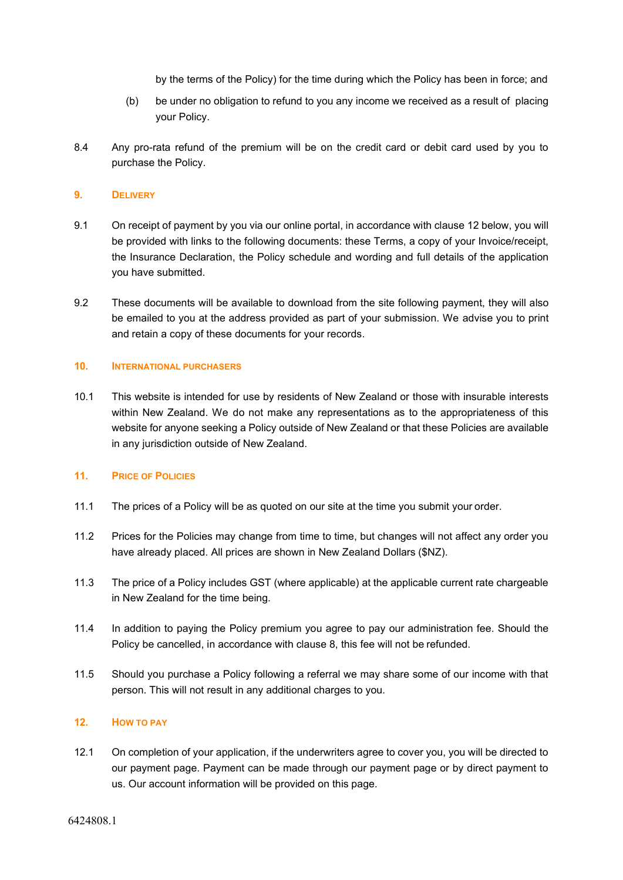by the terms of the Policy) for the time during which the Policy has been in force; and

- (b) be under no obligation to refund to you any income we received as a result of placing your Policy.
- 8.4 Any pro-rata refund of the premium will be on the credit card or debit card used by you to purchase the Policy.

# **9. DELIVERY**

- 9.1 On receipt of payment by you via our online portal, in accordance with clause 12 below, you will be provided with links to the following documents: these Terms, a copy of your Invoice/receipt, the Insurance Declaration, the Policy schedule and wording and full details of the application you have submitted.
- 9.2 These documents will be available to download from the site following payment, they will also be emailed to you at the address provided as part of your submission. We advise you to print and retain a copy of these documents for your records.

# **10. INTERNATIONAL PURCHASERS**

10.1 This website is intended for use by residents of New Zealand or those with insurable interests within New Zealand. We do not make any representations as to the appropriateness of this website for anyone seeking a Policy outside of New Zealand or that these Policies are available in any jurisdiction outside of New Zealand.

# **11. PRICE OF POLICIES**

- 11.1 The prices of a Policy will be as quoted on our site at the time you submit your order.
- 11.2 Prices for the Policies may change from time to time, but changes will not affect any order you have already placed. All prices are shown in New Zealand Dollars (\$NZ).
- 11.3 The price of a Policy includes GST (where applicable) at the applicable current rate chargeable in New Zealand for the time being.
- 11.4 In addition to paying the Policy premium you agree to pay our administration fee. Should the Policy be cancelled, in accordance with clause 8, this fee will not be refunded.
- 11.5 Should you purchase a Policy following a referral we may share some of our income with that person. This will not result in any additional charges to you.

# **12. HOW TO PAY**

12.1 On completion of your application, if the underwriters agree to cover you, you will be directed to our payment page. Payment can be made through our payment page or by direct payment to us. Our account information will be provided on this page.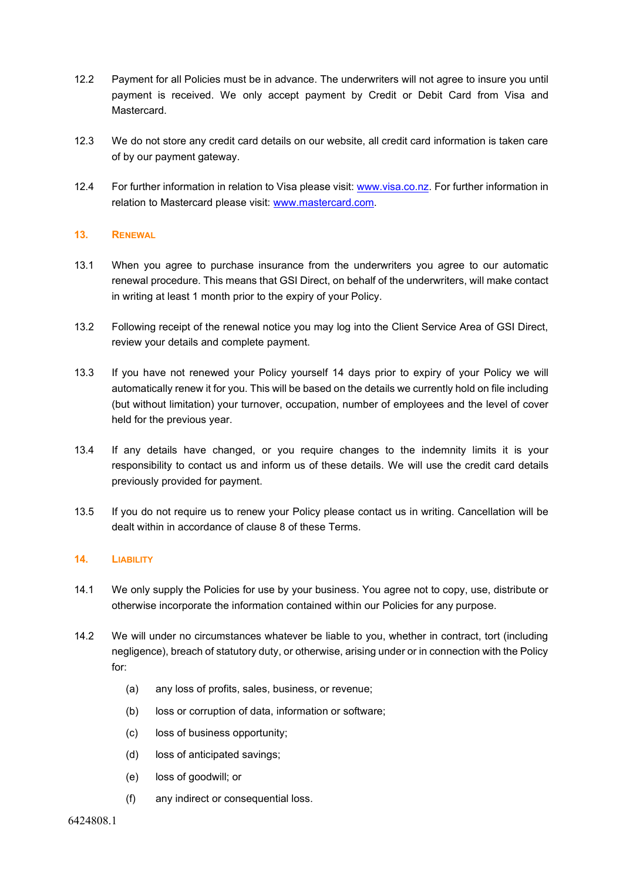- 12.2 Payment for all Policies must be in advance. The underwriters will not agree to insure you until payment is received. We only accept payment by Credit or Debit Card from Visa and Mastercard.
- 12.3 We do not store any credit card details on our website, all credit card information is taken care of by our payment gateway.
- 12.4 For further information in relation to Visa please visit: [www.visa.co.nz. F](http://www.visa.co.nz/)or further information in relation to Mastercard please visit: [www.mastercard.com.](http://www.mastercard.com/)

# **13. RENEWAL**

- 13.1 When you agree to purchase insurance from the underwriters you agree to our automatic renewal procedure. This means that GSI Direct, on behalf of the underwriters, will make contact in writing at least 1 month prior to the expiry of your Policy.
- 13.2 Following receipt of the renewal notice you may log into the Client Service Area of GSI Direct, review your details and complete payment.
- 13.3 If you have not renewed your Policy yourself 14 days prior to expiry of your Policy we will automatically renew it for you. This will be based on the details we currently hold on file including (but without limitation) your turnover, occupation, number of employees and the level of cover held for the previous year.
- 13.4 If any details have changed, or you require changes to the indemnity limits it is your responsibility to contact us and inform us of these details. We will use the credit card details previously provided for payment.
- 13.5 If you do not require us to renew your Policy please contact us in writing. Cancellation will be dealt within in accordance of clause 8 of these Terms.

# **14. LIABILITY**

- 14.1 We only supply the Policies for use by your business. You agree not to copy, use, distribute or otherwise incorporate the information contained within our Policies for any purpose.
- 14.2 We will under no circumstances whatever be liable to you, whether in contract, tort (including negligence), breach of statutory duty, or otherwise, arising under or in connection with the Policy for:
	- (a) any loss of profits, sales, business, or revenue;
	- (b) loss or corruption of data, information or software;
	- (c) loss of business opportunity;
	- (d) loss of anticipated savings;
	- (e) loss of goodwill; or
	- (f) any indirect or consequential loss.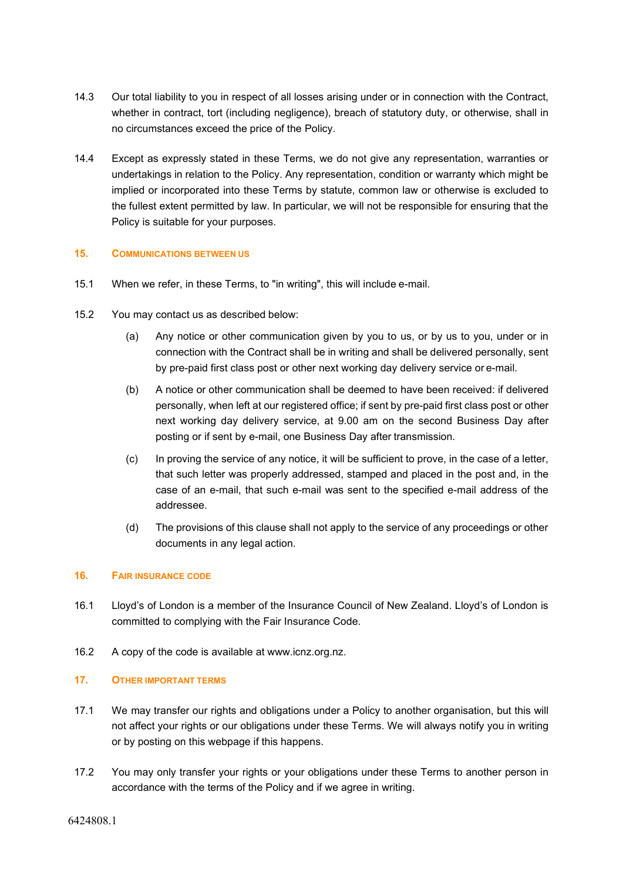- 14.3 Our total liability to you in respect of all losses arising under or in connection with the Contract, whether in contract, tort (including negligence), breach of statutory duty, or otherwise, shall in no circumstances exceed the price of the Policy.
- 14.4 Except as expressly stated in these Terms, we do not give any representation, warranties or undertakings in relation to the Policy. Any representation, condition or warranty which might be implied or incorporated into these Terms by statute, common law or otherwise is excluded to the fullest extent permitted by law. In particular, we will not be responsible for ensuring that the Policy is suitable for your purposes.

# **15. COMMUNICATIONS BETWEEN US**

- 15.1 When we refer, in these Terms, to "in writing", this will include e-mail.
- 15.2 You may contact us as described below:
	- (a) Any notice or other communication given by you to us, or by us to you, under or in connection with the Contract shall be in writing and shall be delivered personally, sent by pre-paid first class post or other next working day delivery service or e-mail.
	- (b) A notice or other communication shall be deemed to have been received: if delivered personally, when left at our registered office; if sent by pre-paid first class post or other next working day delivery service, at 9.00 am on the second Business Day after posting or if sent by e-mail, one Business Day after transmission.
	- (c) In proving the service of any notice, it will be sufficient to prove, in the case of a letter, that such letter was properly addressed, stamped and placed in the post and, in the case of an e-mail, that such e-mail was sent to the specified e-mail address of the addressee.
	- (d) The provisions of this clause shall not apply to the service of any proceedings or other documents in any legal action.

#### **16. FAIR INSURANCE CODE**

- 16.1 Lloyd's of London is a member of the Insurance Council of New Zealand. Lloyd's of London is committed to complying with the Fair Insurance Code.
- 16.2 A copy of the code is available at [www.icnz.org.nz.](http://www.icnz.org.nz/)

#### **17. OTHER IMPORTANT TERMS**

- 17.1 We may transfer our rights and obligations under a Policy to another organisation, but this will not affect your rights or our obligations under these Terms. We will always notify you in writing or by posting on this webpage if this happens.
- 17.2 You may only transfer your rights or your obligations under these Terms to another person in accordance with the terms of the Policy and if we agree in writing.